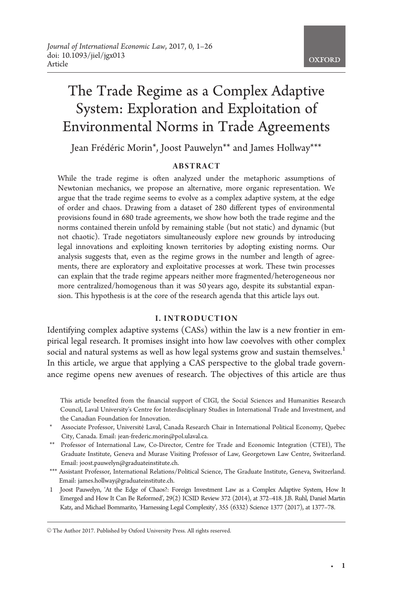# The Trade Regime as a Complex Adaptive System: Exploration and Exploitation of Environmental Norms in Trade Agreements

Jean Frédéric Morin\*, Joost Pauwelyn\*\* and James Hollway\*\*\*

#### **ABSTRACT**

While the trade regime is often analyzed under the metaphoric assumptions of Newtonian mechanics, we propose an alternative, more organic representation. We argue that the trade regime seems to evolve as a complex adaptive system, at the edge of order and chaos. Drawing from a dataset of 280 different types of environmental provisions found in 680 trade agreements, we show how both the trade regime and the norms contained therein unfold by remaining stable (but not static) and dynamic (but not chaotic). Trade negotiators simultaneously explore new grounds by introducing legal innovations and exploiting known territories by adopting existing norms. Our analysis suggests that, even as the regime grows in the number and length of agreements, there are exploratory and exploitative processes at work. These twin processes can explain that the trade regime appears neither more fragmented/heterogeneous nor more centralized/homogenous than it was 50 years ago, despite its substantial expansion. This hypothesis is at the core of the research agenda that this article lays out.

#### I. INTRODUCTION

Identifying complex adaptive systems (CASs) within the law is a new frontier in empirical legal research. It promises insight into how law coevolves with other complex social and natural systems as well as how legal systems grow and sustain themselves.<sup>1</sup> In this article, we argue that applying a CAS perspective to the global trade governance regime opens new avenues of research. The objectives of this article are thus

This article benefited from the financial support of CIGI, the Social Sciences and Humanities Research Council, Laval University's Centre for Interdisciplinary Studies in International Trade and Investment, and the Canadian Foundation for Innovation.

- Associate Professor, Université Laval, Canada Research Chair in International Political Economy, Quebec City, Canada. Email: jean-frederic.morin@pol.ulaval.ca.
- \*\* Professor of International Law, Co-Director, Centre for Trade and Economic Integration (CTEI), The Graduate Institute, Geneva and Murase Visiting Professor of Law, Georgetown Law Centre, Switzerland. Email: joost.pauwelyn@graduateinstitute.ch.
- \*\*\* Assistant Professor, International Relations/Political Science, The Graduate Institute, Geneva, Switzerland. Email: james.hollway@graduateinstitute.ch.
- 1 Joost Pauwelyn, 'At the Edge of Chaos?: Foreign Investment Law as a Complex Adaptive System, How It Emerged and How It Can Be Reformed', 29(2) ICSID Review 372 (2014), at 372–418. J.B. Ruhl, Daniel Martin Katz, and Michael Bommarito, 'Harnessing Legal Complexity', 355 (6332) Science 1377 (2017), at 1377–78.

© The Author 2017. Published by Oxford University Press. All rights reserved.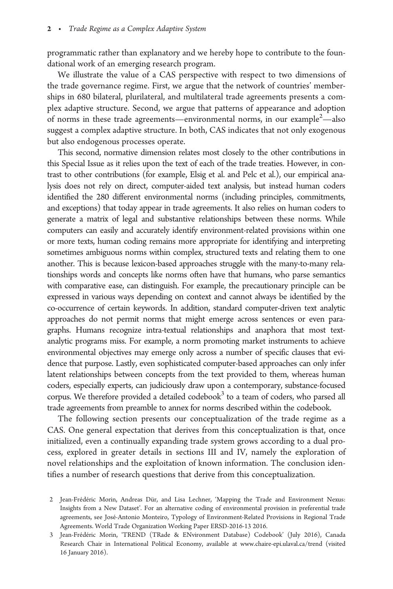programmatic rather than explanatory and we hereby hope to contribute to the foundational work of an emerging research program.

We illustrate the value of a CAS perspective with respect to two dimensions of the trade governance regime. First, we argue that the network of countries' memberships in 680 bilateral, plurilateral, and multilateral trade agreements presents a complex adaptive structure. Second, we argue that patterns of appearance and adoption of norms in these trade agreements—environmental norms, in our example<sup>2</sup>—also suggest a complex adaptive structure. In both, CAS indicates that not only exogenous but also endogenous processes operate.

This second, normative dimension relates most closely to the other contributions in this Special Issue as it relies upon the text of each of the trade treaties. However, in contrast to other contributions (for example, Elsig et al. and Pelc et al.), our empirical analysis does not rely on direct, computer-aided text analysis, but instead human coders identified the 280 different environmental norms (including principles, commitments, and exceptions) that today appear in trade agreements. It also relies on human coders to generate a matrix of legal and substantive relationships between these norms. While computers can easily and accurately identify environment-related provisions within one or more texts, human coding remains more appropriate for identifying and interpreting sometimes ambiguous norms within complex, structured texts and relating them to one another. This is because lexicon-based approaches struggle with the many-to-many relationships words and concepts like norms often have that humans, who parse semantics with comparative ease, can distinguish. For example, the precautionary principle can be expressed in various ways depending on context and cannot always be identified by the co-occurrence of certain keywords. In addition, standard computer-driven text analytic approaches do not permit norms that might emerge across sentences or even paragraphs. Humans recognize intra-textual relationships and anaphora that most textanalytic programs miss. For example, a norm promoting market instruments to achieve environmental objectives may emerge only across a number of specific clauses that evidence that purpose. Lastly, even sophisticated computer-based approaches can only infer latent relationships between concepts from the text provided to them, whereas human coders, especially experts, can judiciously draw upon a contemporary, substance-focused corpus. We therefore provided a detailed codebook $3$  to a team of coders, who parsed all trade agreements from preamble to annex for norms described within the codebook.

The following section presents our conceptualization of the trade regime as a CAS. One general expectation that derives from this conceptualization is that, once initialized, even a continually expanding trade system grows according to a dual process, explored in greater details in sections III and IV, namely the exploration of novel relationships and the exploitation of known information. The conclusion identifies a number of research questions that derive from this conceptualization.

<sup>2</sup> Jean-Frédéric Morin, Andreas Dür, and Lisa Lechner, 'Mapping the Trade and Environment Nexus: Insights from a New Dataset'. For an alternative coding of environmental provision in preferential trade agreements, see José-Antonio Monteiro, Typology of Environment-Related Provisions in Regional Trade Agreements. World Trade Organization Working Paper ERSD-2016-13 2016.

<sup>3</sup> Jean-Frédéric Morin, 'TREND (TRade & ENvironment Database) Codebook' (July 2016), Canada Research Chair in International Political Economy, available at [www.chaire-epi.ulaval.ca/trend](http://www.chaire-epi.ulaval.ca/trend) (visited 16 January 2016).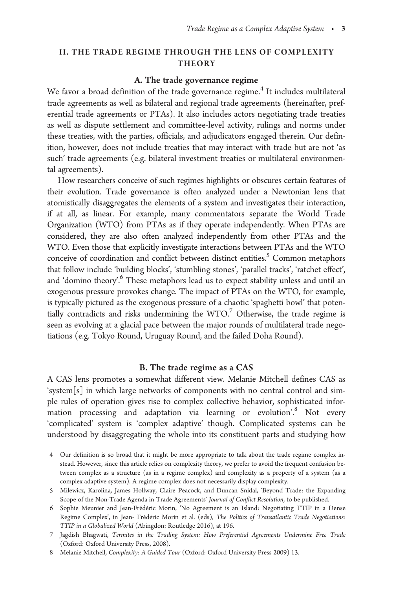### II. THE TRADE REGIME THROUGH THE LENS OF COMPLEXITY **THEORY**

#### A. The trade governance regime

We favor a broad definition of the trade governance regime.<sup>4</sup> It includes multilateral trade agreements as well as bilateral and regional trade agreements (hereinafter, preferential trade agreements or PTAs). It also includes actors negotiating trade treaties as well as dispute settlement and committee-level activity, rulings and norms under these treaties, with the parties, officials, and adjudicators engaged therein. Our definition, however, does not include treaties that may interact with trade but are not 'as such' trade agreements (e.g. bilateral investment treaties or multilateral environmental agreements).

How researchers conceive of such regimes highlights or obscures certain features of their evolution. Trade governance is often analyzed under a Newtonian lens that atomistically disaggregates the elements of a system and investigates their interaction, if at all, as linear. For example, many commentators separate the World Trade Organization (WTO) from PTAs as if they operate independently. When PTAs are considered, they are also often analyzed independently from other PTAs and the WTO. Even those that explicitly investigate interactions between PTAs and the WTO conceive of coordination and conflict between distinct entities.<sup>5</sup> Common metaphors that follow include 'building blocks', 'stumbling stones', 'parallel tracks', 'ratchet effect', and 'domino theory'.<sup>6</sup> These metaphors lead us to expect stability unless and until an exogenous pressure provokes change. The impact of PTAs on the WTO, for example, is typically pictured as the exogenous pressure of a chaotic 'spaghetti bowl' that potentially contradicts and risks undermining the  $WTO<sup>7</sup>$  Otherwise, the trade regime is seen as evolving at a glacial pace between the major rounds of multilateral trade negotiations (e.g. Tokyo Round, Uruguay Round, and the failed Doha Round).

#### B. The trade regime as a CAS

A CAS lens promotes a somewhat different view. Melanie Mitchell defines CAS as 'system[s] in which large networks of components with no central control and simple rules of operation gives rise to complex collective behavior, sophisticated information processing and adaptation via learning or evolution'.8 Not every 'complicated' system is 'complex adaptive' though. Complicated systems can be understood by disaggregating the whole into its constituent parts and studying how

<sup>4</sup> Our definition is so broad that it might be more appropriate to talk about the trade regime complex instead. However, since this article relies on complexity theory, we prefer to avoid the frequent confusion between complex as a structure (as in a regime complex) and complexity as a property of a system (as a complex adaptive system). A regime complex does not necessarily display complexity.

<sup>5</sup> Milewicz, Karolina, James Hollway, Claire Peacock, and Duncan Snidal, 'Beyond Trade: the Expanding Scope of the Non-Trade Agenda in Trade Agreements' Journal of Conflict Resolution, to be published.

<sup>6</sup> Sophie Meunier and Jean-Frédéric Morin, 'No Agreement is an Island: Negotiating TTIP in a Dense Regime Complex', in Jean- Frédéric Morin et al. (eds), The Politics of Transatlantic Trade Negotiations: TTIP in a Globalized World (Abingdon: Routledge 2016), at 196.

<sup>7</sup> Jagdish Bhagwati, Termites in the Trading System: How Preferential Agreements Undermine Free Trade (Oxford: Oxford University Press, 2008).

<sup>8</sup> Melanie Mitchell, Complexity: A Guided Tour (Oxford: Oxford University Press 2009) 13.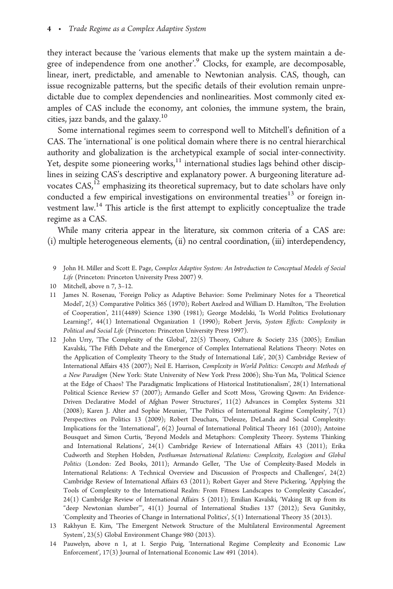they interact because the 'various elements that make up the system maintain a degree of independence from one another'.9 Clocks, for example, are decomposable, linear, inert, predictable, and amenable to Newtonian analysis. CAS, though, can issue recognizable patterns, but the specific details of their evolution remain unpredictable due to complex dependencies and nonlinearities. Most commonly cited examples of CAS include the economy, ant colonies, the immune system, the brain, cities, jazz bands, and the galaxy. $^{10}$ 

Some international regimes seem to correspond well to Mitchell's definition of a CAS. The 'international' is one political domain where there is no central hierarchical authority and globalization is the archetypical example of social inter-connectivity. Yet, despite some pioneering works, $11$  international studies lags behind other disciplines in seizing CAS's descriptive and explanatory power. A burgeoning literature advocates  $CAS<sub>1</sub><sup>12</sup>$  emphasizing its theoretical supremacy, but to date scholars have only conducted a few empirical investigations on environmental treaties $^{13}$  or foreign investment law.14 This article is the first attempt to explicitly conceptualize the trade regime as a CAS.

While many criteria appear in the literature, six common criteria of a CAS are: (i) multiple heterogeneous elements, (ii) no central coordination, (iii) interdependency,

9 John H. Miller and Scott E. Page, Complex Adaptive System: An Introduction to Conceptual Models of Social Life (Princeton: Princeton University Press 2007) 9.

- 11 James N. Rosenau, 'Foreign Policy as Adaptive Behavior: Some Preliminary Notes for a Theoretical Model', 2(3) Comparative Politics 365 (1970); Robert Axelrod and William D. Hamilton, 'The Evolution of Cooperation', 211(4489) Science 1390 (1981); George Modelski, 'Is World Politics Evolutionary Learning?', 44(1) International Organization 1 (1990); Robert Jervis, System Effects: Complexity in Political and Social Life (Princeton: Princeton University Press 1997).
- 12 John Urry, 'The Complexity of the Global', 22(5) Theory, Culture & Society 235 (2005); Emilian Kavalski, 'The Fifth Debate and the Emergence of Complex International Relations Theory: Notes on the Application of Complexity Theory to the Study of International Life', 20(3) Cambridge Review of International Affairs 435 (2007); Neil E. Harrison, Complexity in World Politics: Concepts and Methods of a New Paradigm (New York: State University of New York Press 2006); Shu-Yun Ma, 'Political Science at the Edge of Chaos? The Paradigmatic Implications of Historical Institutionalism', 28(1) International Political Science Review 57 (2007); Armando Geller and Scott Moss, 'Growing Qawm: An Evidence-Driven Declarative Model of Afghan Power Structures', 11(2) Advances in Complex Systems 321 (2008); Karen J. Alter and Sophie Meunier, 'The Politics of International Regime Complexity', 7(1) Perspectives on Politics 13 (2009); Robert Deuchars, 'Deleuze, DeLanda and Social Complexity: Implications for the 'International'', 6(2) Journal of International Political Theory 161 (2010); Antoine Bousquet and Simon Curtis, 'Beyond Models and Metaphors: Complexity Theory. Systems Thinking and International Relations', 24(1) Cambridge Review of International Affairs 43 (2011); Erika Cudworth and Stephen Hobden, Posthuman International Relations: Complexity, Ecologism and Global Politics (London: Zed Books, 2011); Armando Geller, 'The Use of Complexity-Based Models in International Relations: A Technical Overview and Discussion of Prospects and Challenges', 24(2) Cambridge Review of International Affairs 63 (2011); Robert Gayer and Steve Pickering, 'Applying the Tools of Complexity to the International Realm: From Fitness Landscapes to Complexity Cascades', 24(1) Cambridge Review of International Affairs 5 (2011); Emilian Kavalski, 'Waking IR up from its "deep Newtonian slumber"', 41(1) Journal of International Studies 137 (2012); Seva Gunitsky, 'Complexity and Theories of Change in International Politics', 5(1) International Theory 35 (2013).
- 13 Rakhyun E. Kim, 'The Emergent Network Structure of the Multilateral Environmental Agreement System', 23(5) Global Environment Change 980 (2013).
- 14 Pauwelyn, above n 1, at 1. Sergio Puig, 'International Regime Complexity and Economic Law Enforcement', 17(3) Journal of International Economic Law 491 (2014).

<sup>10</sup> Mitchell, above n 7, 3–12.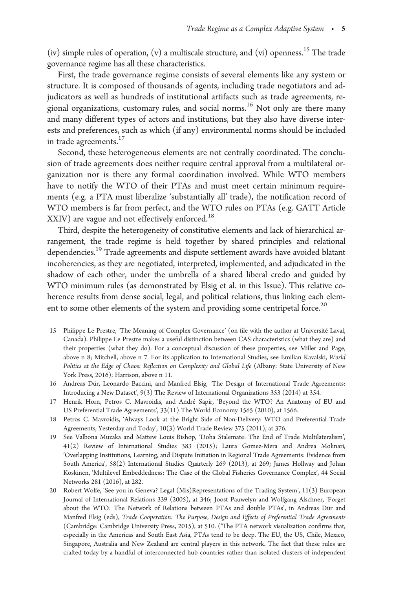(iv) simple rules of operation, (v) a multiscale structure, and (vi) openness.<sup>15</sup> The trade governance regime has all these characteristics.

First, the trade governance regime consists of several elements like any system or structure. It is composed of thousands of agents, including trade negotiators and adjudicators as well as hundreds of institutional artifacts such as trade agreements, regional organizations, customary rules, and social norms.16 Not only are there many and many different types of actors and institutions, but they also have diverse interests and preferences, such as which (if any) environmental norms should be included in trade agreements.<sup>17</sup>

Second, these heterogeneous elements are not centrally coordinated. The conclusion of trade agreements does neither require central approval from a multilateral organization nor is there any formal coordination involved. While WTO members have to notify the WTO of their PTAs and must meet certain minimum requirements (e.g. a PTA must liberalize 'substantially all' trade), the notification record of WTO members is far from perfect, and the WTO rules on PTAs (e.g. GATT Article XXIV) are vague and not effectively enforced.<sup>18</sup>

Third, despite the heterogeneity of constitutive elements and lack of hierarchical arrangement, the trade regime is held together by shared principles and relational dependencies.<sup>19</sup> Trade agreements and dispute settlement awards have avoided blatant incoherencies, as they are negotiated, interpreted, implemented, and adjudicated in the shadow of each other, under the umbrella of a shared liberal credo and guided by WTO minimum rules (as demonstrated by Elsig et al. in this Issue). This relative coherence results from dense social, legal, and political relations, thus linking each element to some other elements of the system and providing some centripetal force.<sup>20</sup>

- 15 Philippe Le Prestre, 'The Meaning of Complex Governance' (on file with the author at Université Laval, Canada). Philippe Le Prestre makes a useful distinction between CAS characteristics (what they are) and their properties (what they do). For a conceptual discussion of these properties, see Miller and Page, above n 8; Mitchell, above n 7. For its application to International Studies, see Emilian Kavalski, World Politics at the Edge of Chaos: Reflection on Complexity and Global Life (Albany: State University of New York Press, 2016); Harrison, above n 11.
- 16 Andreas Dür, Leonardo Baccini, and Manfred Elsig, 'The Design of International Trade Agreements: Introducing a New Dataset', 9(3) The Review of International Organizations 353 (2014) at 354.
- 17 Henrik Horn, Petros C. Mavroidis, and Andre´ Sapir, 'Beyond the WTO? An Anatomy of EU and US Preferential Trade Agreements', 33(11) The World Economy 1565 (2010), at 1566.
- 18 Petros C. Mavroidis, 'Always Look at the Bright Side of Non-Delivery: WTO and Preferential Trade Agreements, Yesterday and Today', 10(3) World Trade Review 375 (2011), at 376.
- 19 See Valbona Muzaka and Mattew Louis Bishop, 'Doha Stalemate: The End of Trade Multilateralism', 41(2) Review of International Studies 383 (2015); Laura Gomez-Mera and Andrea Molinari, 'Overlapping Institutions, Learning, and Dispute Initiation in Regional Trade Agreements: Evidence from South America', 58(2) International Studies Quarterly 269 (2013), at 269; James Hollway and Johan Koskinen, 'Multilevel Embeddedness: The Case of the Global Fisheries Governance Complex', 44 Social Networks 281 (2016), at 282.
- 20 Robert Wolfe, 'See you in Geneva? Legal (Mis)Representations of the Trading System', 11(3) European Journal of International Relations 339 (2005), at 346; Joost Pauwelyn and Wolfgang Alschner, 'Forget about the WTO: The Network of Relations between PTAs and double PTAs', in Andreas Dür and Manfred Elsig (eds), Trade Cooperation: The Purpose, Design and Effects of Preferential Trade Agreements (Cambridge: Cambridge University Press, 2015), at 510. ('The PTA network visualization confirms that, especially in the Americas and South East Asia, PTAs tend to be deep. The EU, the US, Chile, Mexico, Singapore, Australia and New Zealand are central players in this network. The fact that these rules are crafted today by a handful of interconnected hub countries rather than isolated clusters of independent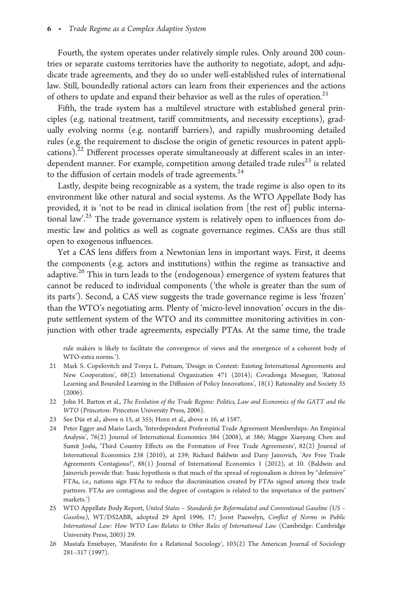Fourth, the system operates under relatively simple rules. Only around 200 countries or separate customs territories have the authority to negotiate, adopt, and adjudicate trade agreements, and they do so under well-established rules of international law. Still, boundedly rational actors can learn from their experiences and the actions of others to update and expand their behavior as well as the rules of operation.<sup>21</sup>

Fifth, the trade system has a multilevel structure with established general principles (e.g. national treatment, tariff commitments, and necessity exceptions), gradually evolving norms (e.g. nontariff barriers), and rapidly mushrooming detailed rules (e.g. the requirement to disclose the origin of genetic resources in patent applications). $^{22}$  Different processes operate simultaneously at different scales in an interdependent manner. For example, competition among detailed trade rules $^{23}$  is related to the diffusion of certain models of trade agreements.<sup>24</sup>

Lastly, despite being recognizable as a system, the trade regime is also open to its environment like other natural and social systems. As the WTO Appellate Body has provided, it is 'not to be read in clinical isolation from [the rest of] public international law'.<sup>25</sup> The trade governance system is relatively open to influences from domestic law and politics as well as cognate governance regimes. CASs are thus still open to exogenous influences.

Yet a CAS lens differs from a Newtonian lens in important ways. First, it deems the components (e.g. actors and institutions) within the regime as transactive and adaptive.<sup>26</sup> This in turn leads to the (endogenous) emergence of system features that cannot be reduced to individual components ('the whole is greater than the sum of its parts'). Second, a CAS view suggests the trade governance regime is less 'frozen' than the WTO's negotiating arm. Plenty of 'micro-level innovation' occurs in the dispute settlement system of the WTO and its committee monitoring activities in conjunction with other trade agreements, especially PTAs. At the same time, the trade

rule makers is likely to facilitate the convergence of views and the emergence of a coherent body of WTO-extra norms.').

- 21 Mark S. Copelovitch and Tonya L. Putnam, 'Design in Context: Existing International Agreements and New Cooperation', 68(2) International Organization 471 (2014); Covadonga Meseguer, 'Rational Learning and Bounded Learning in the Diffusion of Policy Innovations', 18(1) Rationality and Society 35 (2006).
- 22 John H. Barton et al., The Evolution of the Trade Regime: Politics, Law and Economics of the GATT and the WTO (Princeton: Princeton University Press, 2006).
- 23 See Dür et al., above n 15, at 355; Horn et al., above n 16, at 1587.
- 24 Peter Egger and Mario Larch, 'Interdependent Preferential Trade Agreement Memberships: An Empirical Analysis', 76(2) Journal of International Economics 384 (2008), at 386; Maggie Xiaoyang Chen and Sumit Joshi, 'Third Country Effects on the Formation of Free Trade Agreements', 82(2) Journal of International Economics 238 (2010), at 239; Richard Baldwin and Dany Jainovich, 'Are Free Trade Agreements Contagious?', 88(1) Journal of International Economics 1 (2012), at 10. (Baldwin and Jainovich provide that: 'basic hypothesis is that much of the spread of regionalism is driven by "defensive" FTAs, i.e., nations sign FTAs to reduce the discrimination created by FTAs signed among their trade partners. FTAs are contagious and the degree of contagion is related to the importance of the partners' markets.')
- 25 WTO Appellate Body Report, United States Standards for Reformulated and Conventional Gasoline (US Gasoline), WT/DS2ABR, adopted 29 April 1996, 17; Joost Pauwelyn, Conflict of Norms in Public International Law: How WTO Law Relates to Other Rules of International Law (Cambridge: Cambridge University Press, 2003) 29.
- 26 Mustafa Emirbayer, 'Manifesto for a Relational Sociology', 103(2) The American Journal of Sociology 281–317 (1997).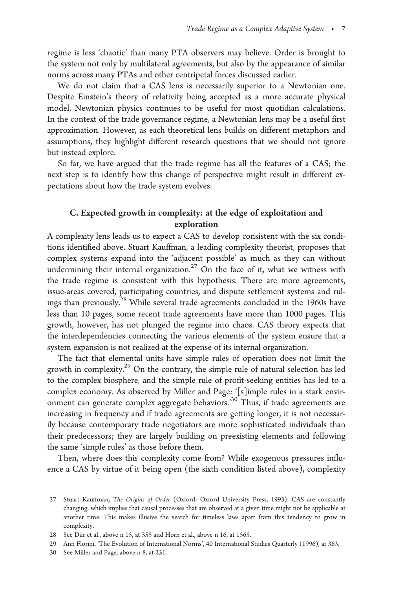regime is less 'chaotic' than many PTA observers may believe. Order is brought to the system not only by multilateral agreements, but also by the appearance of similar norms across many PTAs and other centripetal forces discussed earlier.

We do not claim that a CAS lens is necessarily superior to a Newtonian one. Despite Einstein's theory of relativity being accepted as a more accurate physical model, Newtonian physics continues to be useful for most quotidian calculations. In the context of the trade governance regime, a Newtonian lens may be a useful first approximation. However, as each theoretical lens builds on different metaphors and assumptions, they highlight different research questions that we should not ignore but instead explore.

So far, we have argued that the trade regime has all the features of a CAS; the next step is to identify how this change of perspective might result in different expectations about how the trade system evolves.

# C. Expected growth in complexity: at the edge of exploitation and exploration

A complexity lens leads us to expect a CAS to develop consistent with the six conditions identified above. Stuart Kauffman, a leading complexity theorist, proposes that complex systems expand into the 'adjacent possible' as much as they can without undermining their internal organization.<sup>27</sup> On the face of it, what we witness with the trade regime is consistent with this hypothesis. There are more agreements, issue-areas covered, participating countries, and dispute settlement systems and rulings than previously.28 While several trade agreements concluded in the 1960s have less than 10 pages, some recent trade agreements have more than 1000 pages. This growth, however, has not plunged the regime into chaos. CAS theory expects that the interdependencies connecting the various elements of the system ensure that a system expansion is not realized at the expense of its internal organization.

The fact that elemental units have simple rules of operation does not limit the growth in complexity.<sup>29</sup> On the contrary, the simple rule of natural selection has led to the complex biosphere, and the simple rule of profit-seeking entities has led to a complex economy. As observed by Miller and Page: '[s]imple rules in a stark environment can generate complex aggregate behaviors.'30 Thus, if trade agreements are increasing in frequency and if trade agreements are getting longer, it is not necessarily because contemporary trade negotiators are more sophisticated individuals than their predecessors; they are largely building on preexisting elements and following the same 'simple rules' as those before them.

Then, where does this complexity come from? While exogenous pressures influence a CAS by virtue of it being open (the sixth condition listed above), complexity

- 28 See Dür et al., above n 15, at 355 and Horn et al., above n 16, at 1565.
- 29 Ann Florini, 'The Evolution of International Norms', 40 International Studies Quarterly (1996), at 363.
- 30 See Miller and Page, above n 8, at 231.

<sup>27</sup> Stuart Kauffman, The Origins of Order (Oxford: Oxford University Press, 1993). CAS are constantly changing, which implies that causal processes that are observed at a given time might not be applicable at another time. This makes illusive the search for timeless laws apart from this tendency to grow in complexity.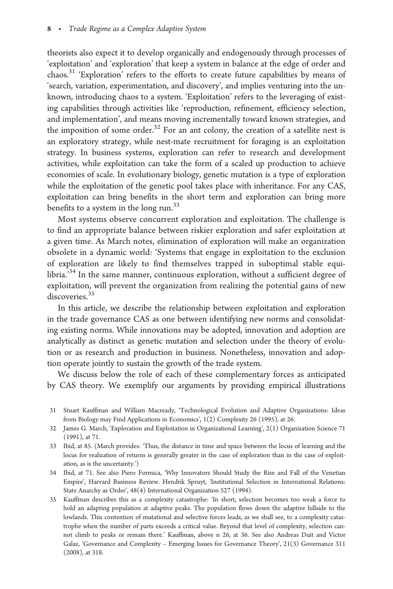theorists also expect it to develop organically and endogenously through processes of 'exploitation' and 'exploration' that keep a system in balance at the edge of order and chaos.31 'Exploration' refers to the efforts to create future capabilities by means of 'search, variation, experimentation, and discovery', and implies venturing into the unknown, introducing chaos to a system. 'Exploitation' refers to the leveraging of existing capabilities through activities like 'reproduction, refinement, efficiency selection, and implementation', and means moving incrementally toward known strategies, and the imposition of some order.<sup>32</sup> For an ant colony, the creation of a satellite nest is an exploratory strategy, while nest-mate recruitment for foraging is an exploitation strategy. In business systems, exploration can refer to research and development activities, while exploitation can take the form of a scaled up production to achieve economies of scale. In evolutionary biology, genetic mutation is a type of exploration while the exploitation of the genetic pool takes place with inheritance. For any CAS, exploitation can bring benefits in the short term and exploration can bring more benefits to a system in the long run.33

Most systems observe concurrent exploration and exploitation. The challenge is to find an appropriate balance between riskier exploration and safer exploitation at a given time. As March notes, elimination of exploration will make an organization obsolete in a dynamic world: 'Systems that engage in exploitation to the exclusion of exploration are likely to find themselves trapped in suboptimal stable equilibria.<sup>34</sup> In the same manner, continuous exploration, without a sufficient degree of exploitation, will prevent the organization from realizing the potential gains of new discoveries<sup>35</sup>

In this article, we describe the relationship between exploitation and exploration in the trade governance CAS as one between identifying new norms and consolidating existing norms. While innovations may be adopted, innovation and adoption are analytically as distinct as genetic mutation and selection under the theory of evolution or as research and production in business. Nonetheless, innovation and adoption operate jointly to sustain the growth of the trade system.

We discuss below the role of each of these complementary forces as anticipated by CAS theory. We exemplify our arguments by providing empirical illustrations

- 31 Stuart Kauffman and William Macready, 'Technological Evolution and Adaptive Organizations: Ideas from Biology may Find Applications in Economics', 1(2) Complexity 26 (1995), at 26.
- 32 James G. March, 'Exploration and Exploitation in Organizational Learning', 2(1) Organization Science 71 (1991), at 71.
- 33 Ibid, at 85. (March provides: 'Thus, the distance in time and space between the locus of learning and the locus for realization of returns is generally greater in the case of exploration than in the case of exploitation, as is the uncertainty.')
- 34 Ibid, at 71. See also Piero Formica, 'Why Innovators Should Study the Rise and Fall of the Venetian Empire', Harvard Business Review. Hendrik Spruyt, 'Institutional Selection in International Relations: State Anarchy as Order', 48(4) International Organization 527 (1994).
- 35 Kauffman describes this as a complexity catastrophe: 'In short, selection becomes too weak a force to hold an adapting population at adaptive peaks. The population flows down the adaptive hillside to the lowlands. This contention of mutational and selective forces leads, as we shall see, to a complexity catastrophe when the number of parts exceeds a critical value. Beyond that level of complexity, selection cannot climb to peaks or remain there.' Kauffman, above n 26, at 36. See also Andreas Duit and Victor Galaz, 'Governance and Complexity – Emerging Issues for Governance Theory', 21(3) Governance 311 (2008), at 318.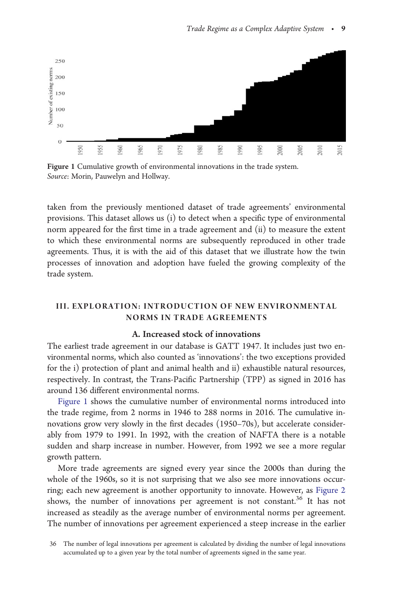<span id="page-8-0"></span>

Figure 1 Cumulative growth of environmental innovations in the trade system. Source: Morin, Pauwelyn and Hollway.

taken from the previously mentioned dataset of trade agreements' environmental provisions. This dataset allows us (i) to detect when a specific type of environmental norm appeared for the first time in a trade agreement and (ii) to measure the extent to which these environmental norms are subsequently reproduced in other trade agreements. Thus, it is with the aid of this dataset that we illustrate how the twin processes of innovation and adoption have fueled the growing complexity of the trade system.

## III. EXPLORATION: INTRODUCTION OF NEW ENVIRONMENTAL NORMS IN TRADE AGREEMENTS

#### A. Increased stock of innovations

The earliest trade agreement in our database is GATT 1947. It includes just two environmental norms, which also counted as 'innovations': the two exceptions provided for the i) protection of plant and animal health and ii) exhaustible natural resources, respectively. In contrast, the Trans-Pacific Partnership (TPP) as signed in 2016 has around 136 different environmental norms.

Figure 1 shows the cumulative number of environmental norms introduced into the trade regime, from 2 norms in 1946 to 288 norms in 2016. The cumulative innovations grow very slowly in the first decades (1950–70s), but accelerate considerably from 1979 to 1991. In 1992, with the creation of NAFTA there is a notable sudden and sharp increase in number. However, from 1992 we see a more regular growth pattern.

More trade agreements are signed every year since the 2000s than during the whole of the 1960s, so it is not surprising that we also see more innovations occurring; each new agreement is another opportunity to innovate. However, as [Figure 2](#page-9-0) shows, the number of innovations per agreement is not constant.<sup>36</sup> It has not increased as steadily as the average number of environmental norms per agreement. The number of innovations per agreement experienced a steep increase in the earlier

<sup>36</sup> The number of legal innovations per agreement is calculated by dividing the number of legal innovations accumulated up to a given year by the total number of agreements signed in the same year.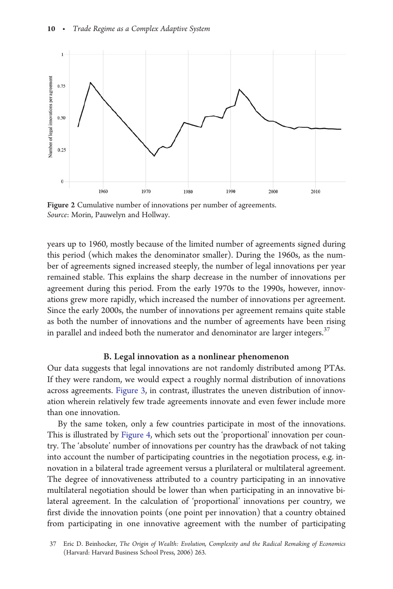<span id="page-9-0"></span>

Figure 2 Cumulative number of innovations per number of agreements. Source: Morin, Pauwelyn and Hollway.

years up to 1960, mostly because of the limited number of agreements signed during this period (which makes the denominator smaller). During the 1960s, as the number of agreements signed increased steeply, the number of legal innovations per year remained stable. This explains the sharp decrease in the number of innovations per agreement during this period. From the early 1970s to the 1990s, however, innovations grew more rapidly, which increased the number of innovations per agreement. Since the early 2000s, the number of innovations per agreement remains quite stable as both the number of innovations and the number of agreements have been rising in parallel and indeed both the numerator and denominator are larger integers. $37$ 

#### B. Legal innovation as a nonlinear phenomenon

Our data suggests that legal innovations are not randomly distributed among PTAs. If they were random, we would expect a roughly normal distribution of innovations across agreements. [Figure 3,](#page-10-0) in contrast, illustrates the uneven distribution of innovation wherein relatively few trade agreements innovate and even fewer include more than one innovation.

By the same token, only a few countries participate in most of the innovations. This is illustrated by [Figure 4](#page-10-0), which sets out the 'proportional' innovation per country. The 'absolute' number of innovations per country has the drawback of not taking into account the number of participating countries in the negotiation process, e.g. innovation in a bilateral trade agreement versus a plurilateral or multilateral agreement. The degree of innovativeness attributed to a country participating in an innovative multilateral negotiation should be lower than when participating in an innovative bilateral agreement. In the calculation of 'proportional' innovations per country, we first divide the innovation points (one point per innovation) that a country obtained from participating in one innovative agreement with the number of participating

<sup>37</sup> Eric D. Beinhocker, The Origin of Wealth: Evolution, Complexity and the Radical Remaking of Economics (Harvard: Harvard Business School Press, 2006) 263.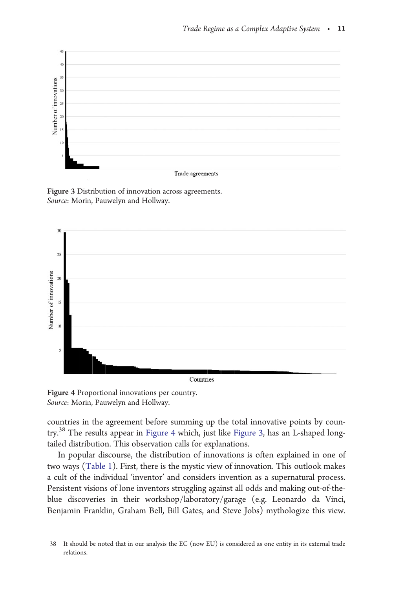<span id="page-10-0"></span>

Figure 3 Distribution of innovation across agreements. Source: Morin, Pauwelyn and Hollway.



Figure 4 Proportional innovations per country. Source: Morin, Pauwelyn and Hollway.

countries in the agreement before summing up the total innovative points by country.<sup>38</sup> The results appear in Figure 4 which, just like Figure 3, has an L-shaped longtailed distribution. This observation calls for explanations.

In popular discourse, the distribution of innovations is often explained in one of two ways [\(Table 1](#page-11-0)). First, there is the mystic view of innovation. This outlook makes a cult of the individual 'inventor' and considers invention as a supernatural process. Persistent visions of lone inventors struggling against all odds and making out-of-theblue discoveries in their workshop/laboratory/garage (e.g. Leonardo da Vinci, Benjamin Franklin, Graham Bell, Bill Gates, and Steve Jobs) mythologize this view.

<sup>38</sup> It should be noted that in our analysis the EC (now EU) is considered as one entity in its external trade relations.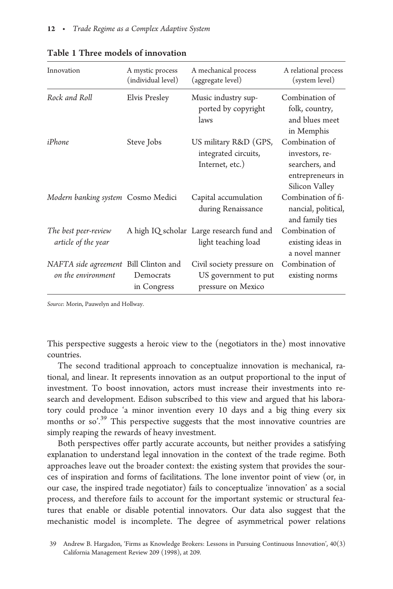| Innovation                                                  | A mystic process<br>(individual level) | A mechanical process<br>(aggregate level)                               | A relational process<br>(system level)                                                   |
|-------------------------------------------------------------|----------------------------------------|-------------------------------------------------------------------------|------------------------------------------------------------------------------------------|
| Rock and Roll                                               | Elvis Presley                          | Music industry sup-<br>ported by copyright<br>laws                      | Combination of<br>folk, country,<br>and blues meet<br>in Memphis                         |
| iPhone                                                      | Steve Jobs                             | US military R&D (GPS,<br>integrated circuits,<br>Internet, etc.)        | Combination of<br>investors, re-<br>searchers, and<br>entrepreneurs in<br>Silicon Valley |
| Modern banking system Cosmo Medici                          |                                        | Capital accumulation<br>during Renaissance                              | Combination of fi-<br>nancial, political,<br>and family ties                             |
| The best peer-review<br>article of the year                 |                                        | A high IQ scholar Large research fund and<br>light teaching load        | Combination of<br>existing ideas in<br>a novel manner                                    |
| NAFTA side agreement Bill Clinton and<br>on the environment | Democrats<br>in Congress               | Civil society pressure on<br>US government to put<br>pressure on Mexico | Combination of<br>existing norms                                                         |

<span id="page-11-0"></span>Table 1 Three models of innovation

Source: Morin, Pauwelyn and Hollway.

This perspective suggests a heroic view to the (negotiators in the) most innovative countries.

The second traditional approach to conceptualize innovation is mechanical, rational, and linear. It represents innovation as an output proportional to the input of investment. To boost innovation, actors must increase their investments into research and development. Edison subscribed to this view and argued that his laboratory could produce 'a minor invention every 10 days and a big thing every six months or so'.<sup>39</sup> This perspective suggests that the most innovative countries are simply reaping the rewards of heavy investment.

Both perspectives offer partly accurate accounts, but neither provides a satisfying explanation to understand legal innovation in the context of the trade regime. Both approaches leave out the broader context: the existing system that provides the sources of inspiration and forms of facilitations. The lone inventor point of view (or, in our case, the inspired trade negotiator) fails to conceptualize 'innovation' as a social process, and therefore fails to account for the important systemic or structural features that enable or disable potential innovators. Our data also suggest that the mechanistic model is incomplete. The degree of asymmetrical power relations

<sup>39</sup> Andrew B. Hargadon, 'Firms as Knowledge Brokers: Lessons in Pursuing Continuous Innovation', 40(3) California Management Review 209 (1998), at 209.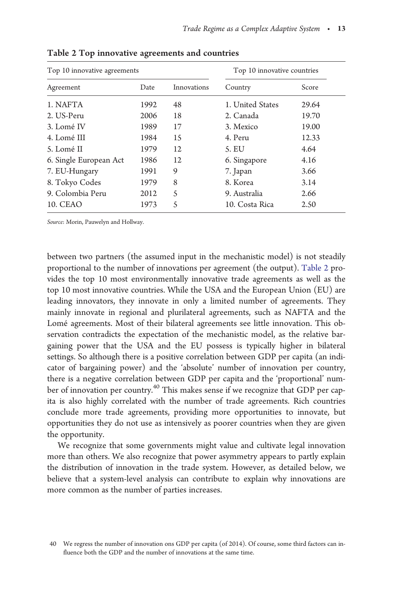| Top 10 innovative agreements |      |             | Top 10 innovative countries |       |
|------------------------------|------|-------------|-----------------------------|-------|
| Agreement                    | Date | Innovations | Country                     | Score |
| 1. NAFTA                     | 1992 | 48          | 1. United States            | 29.64 |
| 2. US-Peru                   | 2006 | 18          | 2. Canada                   | 19.70 |
| 3. Lomé IV                   | 1989 | 17          | 3. Mexico                   | 19.00 |
| 4. Lomé III                  | 1984 | 15          | 4. Peru                     | 12.33 |
| 5. Lomé II                   | 1979 | 12          | 5. EU                       | 4.64  |
| 6. Single European Act       | 1986 | 12          | 6. Singapore                | 4.16  |
| 7. EU-Hungary                | 1991 | 9           | 7. Japan                    | 3.66  |
| 8. Tokyo Codes               | 1979 | 8           | 8. Korea                    | 3.14  |
| 9. Colombia Peru             | 2012 | 5           | 9. Australia                | 2.66  |
| 10. CEAO                     | 1973 | 5           | 10. Costa Rica              | 2.50  |

<span id="page-12-0"></span>Table 2 Top innovative agreements and countries

Source: Morin, Pauwelyn and Hollway.

between two partners (the assumed input in the mechanistic model) is not steadily proportional to the number of innovations per agreement (the output). Table 2 provides the top 10 most environmentally innovative trade agreements as well as the top 10 most innovative countries. While the USA and the European Union (EU) are leading innovators, they innovate in only a limited number of agreements. They mainly innovate in regional and plurilateral agreements, such as NAFTA and the Lomé agreements. Most of their bilateral agreements see little innovation. This observation contradicts the expectation of the mechanistic model, as the relative bargaining power that the USA and the EU possess is typically higher in bilateral settings. So although there is a positive correlation between GDP per capita (an indicator of bargaining power) and the 'absolute' number of innovation per country, there is a negative correlation between GDP per capita and the 'proportional' number of innovation per country.<sup>40</sup> This makes sense if we recognize that GDP per capita is also highly correlated with the number of trade agreements. Rich countries conclude more trade agreements, providing more opportunities to innovate, but opportunities they do not use as intensively as poorer countries when they are given the opportunity.

We recognize that some governments might value and cultivate legal innovation more than others. We also recognize that power asymmetry appears to partly explain the distribution of innovation in the trade system. However, as detailed below, we believe that a system-level analysis can contribute to explain why innovations are more common as the number of parties increases.

<sup>40</sup> We regress the number of innovation ons GDP per capita (of 2014). Of course, some third factors can influence both the GDP and the number of innovations at the same time.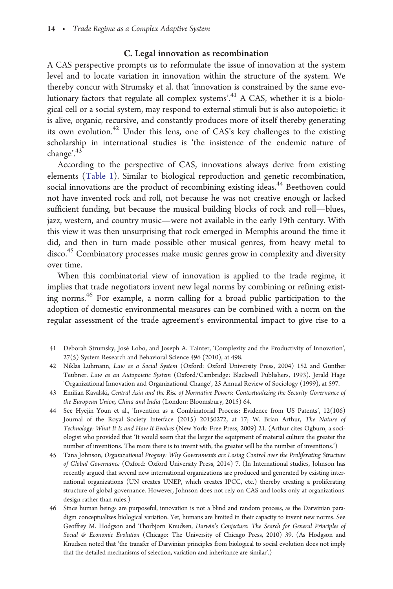#### C. Legal innovation as recombination

A CAS perspective prompts us to reformulate the issue of innovation at the system level and to locate variation in innovation within the structure of the system. We thereby concur with Strumsky et al. that 'innovation is constrained by the same evolutionary factors that regulate all complex systems'.<sup>41</sup> A CAS, whether it is a biological cell or a social system, may respond to external stimuli but is also autopoietic: it is alive, organic, recursive, and constantly produces more of itself thereby generating its own evolution.<sup>42</sup> Under this lens, one of CAS's key challenges to the existing scholarship in international studies is 'the insistence of the endemic nature of change'.<sup>43</sup>

According to the perspective of CAS, innovations always derive from existing elements [\(Table 1\)](#page-11-0). Similar to biological reproduction and genetic recombination, social innovations are the product of recombining existing ideas.<sup>44</sup> Beethoven could not have invented rock and roll, not because he was not creative enough or lacked sufficient funding, but because the musical building blocks of rock and roll—blues, jazz, western, and country music—were not available in the early 19th century. With this view it was then unsurprising that rock emerged in Memphis around the time it did, and then in turn made possible other musical genres, from heavy metal to disco.45 Combinatory processes make music genres grow in complexity and diversity over time.

When this combinatorial view of innovation is applied to the trade regime, it implies that trade negotiators invent new legal norms by combining or refining existing norms.46 For example, a norm calling for a broad public participation to the adoption of domestic environmental measures can be combined with a norm on the regular assessment of the trade agreement's environmental impact to give rise to a

- 41 Deborah Strumsky, Jose´ Lobo, and Joseph A. Tainter, 'Complexity and the Productivity of Innovation', 27(5) System Research and Behavioral Science 496 (2010), at 498.
- 42 Niklas Luhmann, Law as a Social System (Oxford: Oxford University Press, 2004) 152 and Gunther Teubner, Law as an Autopoietic System (Oxford/Cambridge: Blackwell Publishers, 1993). Jerald Hage 'Organizational Innovation and Organizational Change', 25 Annual Review of Sociology (1999), at 597.
- 43 Emilian Kavalski, Central Asia and the Rise of Normative Powers: Contextualizing the Security Governance of the European Union, China and India (London: Bloomsbury, 2015) 64.
- 44 See Hyejin Youn et al., 'Invention as a Combinatorial Process: Evidence from US Patents', 12(106) Journal of the Royal Society Interface (2015) 20150272, at 17; W. Brian Arthur, The Nature of Technology: What It Is and How It Evolves (New York: Free Press, 2009) 21. (Arthur cites Ogburn, a sociologist who provided that 'It would seem that the larger the equipment of material culture the greater the number of inventions. The more there is to invent with, the greater will be the number of inventions.')
- 45 Tana Johnson, Organizational Progeny: Why Governments are Losing Control over the Proliferating Structure of Global Governance (Oxford: Oxford University Press, 2014) 7. (In International studies, Johnson has recently argued that several new international organizations are produced and generated by existing international organizations (UN creates UNEP, which creates IPCC, etc.) thereby creating a proliferating structure of global governance. However, Johnson does not rely on CAS and looks only at organizations' design rather than rules.)
- 46 Since human beings are purposeful, innovation is not a blind and random process, as the Darwinian paradigm conceptualizes biological variation. Yet, humans are limited in their capacity to invent new norms. See Geoffrey M. Hodgson and Thorbjorn Knudsen, Darwin's Conjecture: The Search for General Principles of Social & Economic Evolution (Chicago: The University of Chicago Press, 2010) 39. (As Hodgson and Knudsen noted that 'the transfer of Darwinian principles from biological to social evolution does not imply that the detailed mechanisms of selection, variation and inheritance are similar'.)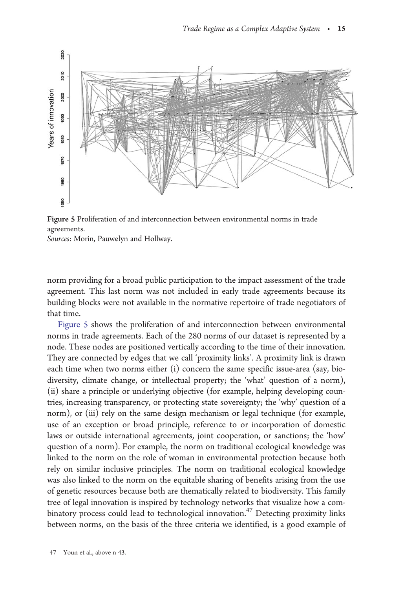

Figure 5 Proliferation of and interconnection between environmental norms in trade agreements.

Sources: Morin, Pauwelyn and Hollway.

norm providing for a broad public participation to the impact assessment of the trade agreement. This last norm was not included in early trade agreements because its building blocks were not available in the normative repertoire of trade negotiators of that time.

Figure 5 shows the proliferation of and interconnection between environmental norms in trade agreements. Each of the 280 norms of our dataset is represented by a node. These nodes are positioned vertically according to the time of their innovation. They are connected by edges that we call 'proximity links'. A proximity link is drawn each time when two norms either (i) concern the same specific issue-area (say, biodiversity, climate change, or intellectual property; the 'what' question of a norm), (ii) share a principle or underlying objective (for example, helping developing countries, increasing transparency, or protecting state sovereignty; the 'why' question of a norm), or (iii) rely on the same design mechanism or legal technique (for example, use of an exception or broad principle, reference to or incorporation of domestic laws or outside international agreements, joint cooperation, or sanctions; the 'how' question of a norm). For example, the norm on traditional ecological knowledge was linked to the norm on the role of woman in environmental protection because both rely on similar inclusive principles. The norm on traditional ecological knowledge was also linked to the norm on the equitable sharing of benefits arising from the use of genetic resources because both are thematically related to biodiversity. This family tree of legal innovation is inspired by technology networks that visualize how a combinatory process could lead to technological innovation.<sup>47</sup> Detecting proximity links between norms, on the basis of the three criteria we identified, is a good example of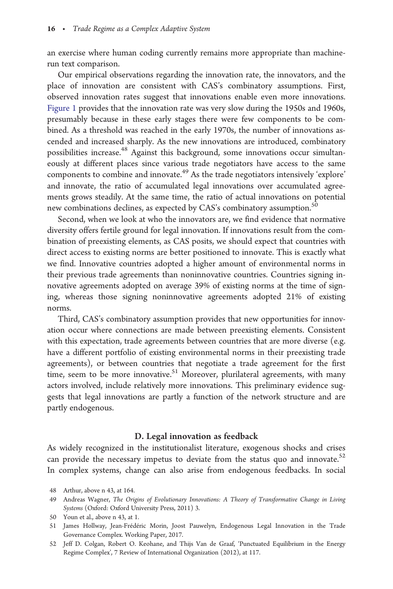an exercise where human coding currently remains more appropriate than machinerun text comparison.

Our empirical observations regarding the innovation rate, the innovators, and the place of innovation are consistent with CAS's combinatory assumptions. First, observed innovation rates suggest that innovations enable even more innovations. [Figure 1](#page-8-0) provides that the innovation rate was very slow during the 1950s and 1960s, presumably because in these early stages there were few components to be combined. As a threshold was reached in the early 1970s, the number of innovations ascended and increased sharply. As the new innovations are introduced, combinatory possibilities increase.<sup>48</sup> Against this background, some innovations occur simultaneously at different places since various trade negotiators have access to the same components to combine and innovate.49 As the trade negotiators intensively 'explore' and innovate, the ratio of accumulated legal innovations over accumulated agreements grows steadily. At the same time, the ratio of actual innovations on potential new combinations declines, as expected by CAS's combinatory assumption.<sup>50</sup>

Second, when we look at who the innovators are, we find evidence that normative diversity offers fertile ground for legal innovation. If innovations result from the combination of preexisting elements, as CAS posits, we should expect that countries with direct access to existing norms are better positioned to innovate. This is exactly what we find. Innovative countries adopted a higher amount of environmental norms in their previous trade agreements than noninnovative countries. Countries signing innovative agreements adopted on average 39% of existing norms at the time of signing, whereas those signing noninnovative agreements adopted 21% of existing norms.

Third, CAS's combinatory assumption provides that new opportunities for innovation occur where connections are made between preexisting elements. Consistent with this expectation, trade agreements between countries that are more diverse (e.g. have a different portfolio of existing environmental norms in their preexisting trade agreements), or between countries that negotiate a trade agreement for the first time, seem to be more innovative.<sup>51</sup> Moreover, plurilateral agreements, with many actors involved, include relatively more innovations. This preliminary evidence suggests that legal innovations are partly a function of the network structure and are partly endogenous.

#### D. Legal innovation as feedback

As widely recognized in the institutionalist literature, exogenous shocks and crises can provide the necessary impetus to deviate from the status quo and innovate.<sup>52</sup> In complex systems, change can also arise from endogenous feedbacks. In social

<sup>48</sup> Arthur, above n 43, at 164.

<sup>49</sup> Andreas Wagner, The Origins of Evolutionary Innovations: A Theory of Transformative Change in Living Systems (Oxford: Oxford University Press, 2011) 3.

<sup>50</sup> Youn et al., above n 43, at 1.

<sup>51</sup> James Hollway, Jean-Frédéric Morin, Joost Pauwelyn, Endogenous Legal Innovation in the Trade Governance Complex. Working Paper, 2017.

<sup>52</sup> Jeff D. Colgan, Robert O. Keohane, and Thijs Van de Graaf, 'Punctuated Equilibrium in the Energy Regime Complex', 7 Review of International Organization (2012), at 117.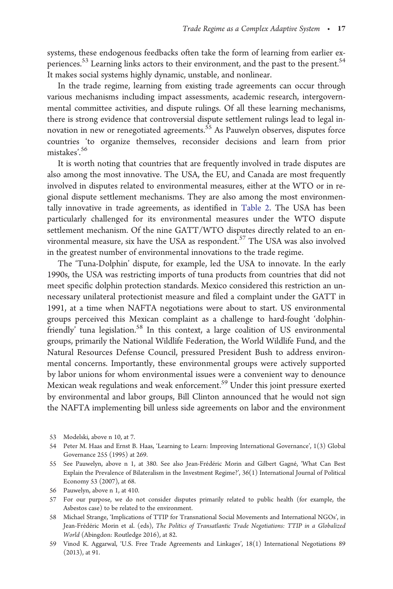systems, these endogenous feedbacks often take the form of learning from earlier experiences.<sup>53</sup> Learning links actors to their environment, and the past to the present.<sup>54</sup> It makes social systems highly dynamic, unstable, and nonlinear.

In the trade regime, learning from existing trade agreements can occur through various mechanisms including impact assessments, academic research, intergovernmental committee activities, and dispute rulings. Of all these learning mechanisms, there is strong evidence that controversial dispute settlement rulings lead to legal innovation in new or renegotiated agreements.<sup>55</sup> As Pauwelyn observes, disputes force countries 'to organize themselves, reconsider decisions and learn from prior mistakes'.<sup>56</sup>

It is worth noting that countries that are frequently involved in trade disputes are also among the most innovative. The USA, the EU, and Canada are most frequently involved in disputes related to environmental measures, either at the WTO or in regional dispute settlement mechanisms. They are also among the most environmentally innovative in trade agreements, as identified in [Table 2](#page-12-0). The USA has been particularly challenged for its environmental measures under the WTO dispute settlement mechanism. Of the nine GATT/WTO disputes directly related to an environmental measure, six have the USA as respondent.<sup>57</sup> The USA was also involved in the greatest number of environmental innovations to the trade regime.

The 'Tuna-Dolphin' dispute, for example, led the USA to innovate. In the early 1990s, the USA was restricting imports of tuna products from countries that did not meet specific dolphin protection standards. Mexico considered this restriction an unnecessary unilateral protectionist measure and filed a complaint under the GATT in 1991, at a time when NAFTA negotiations were about to start. US environmental groups perceived this Mexican complaint as a challenge to hard-fought 'dolphinfriendly' tuna legislation.<sup>58</sup> In this context, a large coalition of US environmental groups, primarily the National Wildlife Federation, the World Wildlife Fund, and the Natural Resources Defense Council, pressured President Bush to address environmental concerns. Importantly, these environmental groups were actively supported by labor unions for whom environmental issues were a convenient way to denounce Mexican weak regulations and weak enforcement.59 Under this joint pressure exerted by environmental and labor groups, Bill Clinton announced that he would not sign the NAFTA implementing bill unless side agreements on labor and the environment

- 53 Modelski, above n 10, at 7.
- 54 Peter M. Haas and Ernst B. Haas, 'Learning to Learn: Improving International Governance', 1(3) Global Governance 255 (1995) at 269.
- 55 See Pauwelyn, above n 1, at 380. See also Jean-Frédéric Morin and Gilbert Gagné, 'What Can Best Explain the Prevalence of Bilateralism in the Investment Regime?', 36(1) International Journal of Political Economy 53 (2007), at 68.
- 56 Pauwelyn, above n 1, at 410.
- 57 For our purpose, we do not consider disputes primarily related to public health (for example, the Asbestos case) to be related to the environment.
- 58 Michael Strange, 'Implications of TTIP for Transnational Social Movements and International NGOs', in Jean-Frédéric Morin et al. (eds), The Politics of Transatlantic Trade Negotiations: TTIP in a Globalized World (Abingdon: Routledge 2016), at 82.
- 59 Vinod K. Aggarwal, 'U.S. Free Trade Agreements and Linkages', 18(1) International Negotiations 89 (2013), at 91.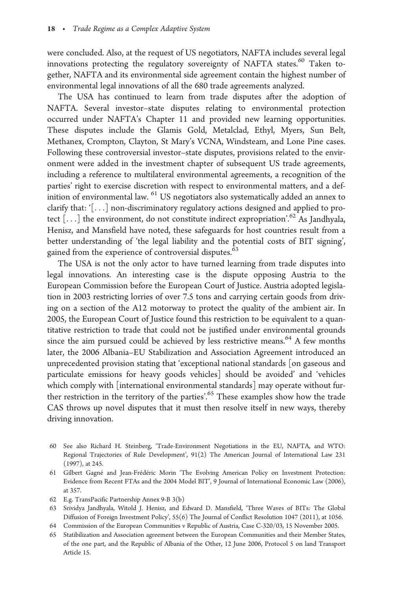were concluded. Also, at the request of US negotiators, NAFTA includes several legal innovations protecting the regulatory sovereignty of NAFTA states.<sup>60</sup> Taken together, NAFTA and its environmental side agreement contain the highest number of environmental legal innovations of all the 680 trade agreements analyzed.

The USA has continued to learn from trade disputes after the adoption of NAFTA. Several investor–state disputes relating to environmental protection occurred under NAFTA's Chapter 11 and provided new learning opportunities. These disputes include the Glamis Gold, Metalclad, Ethyl, Myers, Sun Belt, Methanex, Crompton, Clayton, St Mary's VCNA, Windsteam, and Lone Pine cases. Following these controversial investor–state disputes, provisions related to the environment were added in the investment chapter of subsequent US trade agreements, including a reference to multilateral environmental agreements, a recognition of the parties' right to exercise discretion with respect to environmental matters, and a definition of environmental law. <sup>61</sup> US negotiators also systematically added an annex to clarify that: '[...] non-discriminatory regulatory actions designed and applied to protect  $[...]$  the environment, do not constitute indirect expropriation'.<sup>62</sup> As Jandhyala, Henisz, and Mansfield have noted, these safeguards for host countries result from a better understanding of 'the legal liability and the potential costs of BIT signing', gained from the experience of controversial disputes.<sup>63</sup>

The USA is not the only actor to have turned learning from trade disputes into legal innovations. An interesting case is the dispute opposing Austria to the European Commission before the European Court of Justice. Austria adopted legislation in 2003 restricting lorries of over 7.5 tons and carrying certain goods from driving on a section of the A12 motorway to protect the quality of the ambient air. In 2005, the European Court of Justice found this restriction to be equivalent to a quantitative restriction to trade that could not be justified under environmental grounds since the aim pursued could be achieved by less restrictive means.<sup>64</sup> A few months later, the 2006 Albania–EU Stabilization and Association Agreement introduced an unprecedented provision stating that 'exceptional national standards [on gaseous and particulate emissions for heavy goods vehicles] should be avoided' and 'vehicles which comply with [international environmental standards] may operate without further restriction in the territory of the parties'.<sup>65</sup> These examples show how the trade CAS throws up novel disputes that it must then resolve itself in new ways, thereby driving innovation.

- 61 Gilbert Gagné and Jean-Frédéric Morin 'The Evolving American Policy on Investment Protection: Evidence from Recent FTAs and the 2004 Model BIT', 9 Journal of International Economic Law (2006), at 357.
- 62 E.g. TransPacific Partnership Annex 9-B 3(b)
- 63 Srividya Jandhyala, Witold J. Henisz, and Edward D. Mansfield, 'Three Waves of BITs: The Global Diffusion of Foreign Investment Policy', 55(6) The Journal of Conflict Resolution 1047 (2011), at 1056.
- 64 Commission of the European Communities v Republic of Austria, Case C-320/03, 15 November 2005.

65 Statibilization and Association agreement between the European Communities and their Member States, of the one part, and the Republic of Albania of the Other, 12 June 2006, Protocol 5 on land Transport Article 15.

<sup>60</sup> See also Richard H. Steinberg, 'Trade-Environment Negotiations in the EU, NAFTA, and WTO: Regional Trajectories of Rule Development', 91(2) The American Journal of International Law 231 (1997), at 245.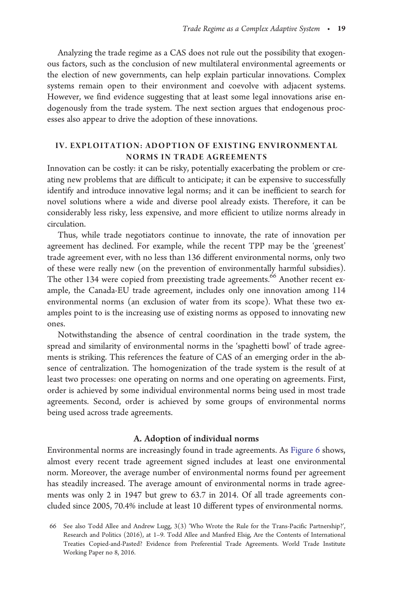Analyzing the trade regime as a CAS does not rule out the possibility that exogenous factors, such as the conclusion of new multilateral environmental agreements or the election of new governments, can help explain particular innovations. Complex systems remain open to their environment and coevolve with adjacent systems. However, we find evidence suggesting that at least some legal innovations arise endogenously from the trade system. The next section argues that endogenous processes also appear to drive the adoption of these innovations.

## IV. EXPLOITATION: ADOPTION OF EXISTING ENVIRONMENTAL NORMS IN TRADE AGREEMENTS

Innovation can be costly: it can be risky, potentially exacerbating the problem or creating new problems that are difficult to anticipate; it can be expensive to successfully identify and introduce innovative legal norms; and it can be inefficient to search for novel solutions where a wide and diverse pool already exists. Therefore, it can be considerably less risky, less expensive, and more efficient to utilize norms already in circulation.

Thus, while trade negotiators continue to innovate, the rate of innovation per agreement has declined. For example, while the recent TPP may be the 'greenest' trade agreement ever, with no less than 136 different environmental norms, only two of these were really new (on the prevention of environmentally harmful subsidies). The other 134 were copied from preexisting trade agreements.<sup>66</sup> Another recent example, the Canada-EU trade agreement, includes only one innovation among 114 environmental norms (an exclusion of water from its scope). What these two examples point to is the increasing use of existing norms as opposed to innovating new ones.

Notwithstanding the absence of central coordination in the trade system, the spread and similarity of environmental norms in the 'spaghetti bowl' of trade agreements is striking. This references the feature of CAS of an emerging order in the absence of centralization. The homogenization of the trade system is the result of at least two processes: one operating on norms and one operating on agreements. First, order is achieved by some individual environmental norms being used in most trade agreements. Second, order is achieved by some groups of environmental norms being used across trade agreements.

#### A. Adoption of individual norms

Environmental norms are increasingly found in trade agreements. As [Figure 6](#page-19-0) shows, almost every recent trade agreement signed includes at least one environmental norm. Moreover, the average number of environmental norms found per agreement has steadily increased. The average amount of environmental norms in trade agreements was only 2 in 1947 but grew to 63.7 in 2014. Of all trade agreements concluded since 2005, 70.4% include at least 10 different types of environmental norms.

<sup>66</sup> See also Todd Allee and Andrew Lugg, 3(3) 'Who Wrote the Rule for the Trans-Pacific Partnership?', Research and Politics (2016), at 1–9. Todd Allee and Manfred Elsig, Are the Contents of International Treaties Copied-and-Pasted? Evidence from Preferential Trade Agreements. World Trade Institute Working Paper no 8, 2016.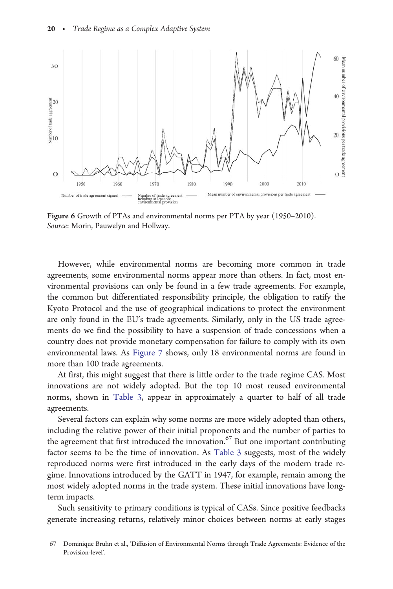<span id="page-19-0"></span>

Figure 6 Growth of PTAs and environmental norms per PTA by year (1950–2010). Source: Morin, Pauwelyn and Hollway.

However, while environmental norms are becoming more common in trade agreements, some environmental norms appear more than others. In fact, most environmental provisions can only be found in a few trade agreements. For example, the common but differentiated responsibility principle, the obligation to ratify the Kyoto Protocol and the use of geographical indications to protect the environment are only found in the EU's trade agreements. Similarly, only in the US trade agreements do we find the possibility to have a suspension of trade concessions when a country does not provide monetary compensation for failure to comply with its own environmental laws. As [Figure 7](#page-20-0) shows, only 18 environmental norms are found in more than 100 trade agreements.

At first, this might suggest that there is little order to the trade regime CAS. Most innovations are not widely adopted. But the top 10 most reused environmental norms, shown in [Table 3,](#page-20-0) appear in approximately a quarter to half of all trade agreements.

Several factors can explain why some norms are more widely adopted than others, including the relative power of their initial proponents and the number of parties to the agreement that first introduced the innovation.<sup>67</sup> But one important contributing factor seems to be the time of innovation. As [Table 3](#page-20-0) suggests, most of the widely reproduced norms were first introduced in the early days of the modern trade regime. Innovations introduced by the GATT in 1947, for example, remain among the most widely adopted norms in the trade system. These initial innovations have longterm impacts.

Such sensitivity to primary conditions is typical of CASs. Since positive feedbacks generate increasing returns, relatively minor choices between norms at early stages

<sup>67</sup> Dominique Bruhn et al., 'Diffusion of Environmental Norms through Trade Agreements: Evidence of the Provision-level'.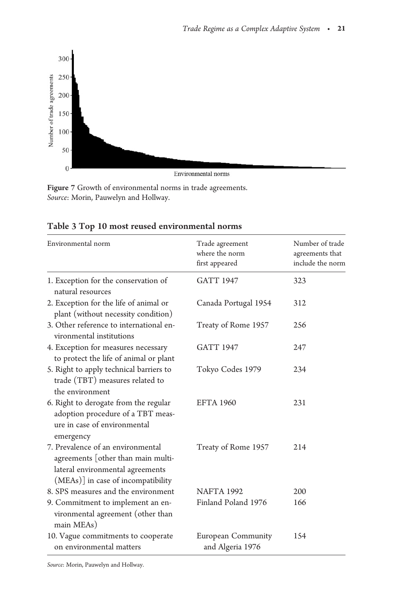<span id="page-20-0"></span>

Figure 7 Growth of environmental norms in trade agreements. Source: Morin, Pauwelyn and Hollway.

| Environmental norm                                                                                                                               | Trade agreement<br>where the norm<br>first appeared | Number of trade<br>agreements that<br>include the norm |
|--------------------------------------------------------------------------------------------------------------------------------------------------|-----------------------------------------------------|--------------------------------------------------------|
| 1. Exception for the conservation of<br>natural resources                                                                                        | <b>GATT 1947</b>                                    | 323                                                    |
| 2. Exception for the life of animal or<br>plant (without necessity condition)                                                                    | Canada Portugal 1954                                | 312                                                    |
| 3. Other reference to international en-<br>vironmental institutions                                                                              | Treaty of Rome 1957                                 | 256                                                    |
| 4. Exception for measures necessary<br>to protect the life of animal or plant                                                                    | <b>GATT 1947</b>                                    | 247                                                    |
| 5. Right to apply technical barriers to<br>trade (TBT) measures related to<br>the environment                                                    | Tokyo Codes 1979                                    | 234                                                    |
| 6. Right to derogate from the regular<br>adoption procedure of a TBT meas-<br>ure in case of environmental<br>emergency                          | <b>EFTA 1960</b>                                    | 231                                                    |
| 7. Prevalence of an environmental<br>agreements other than main multi-<br>lateral environmental agreements<br>(MEAs)] in case of incompatibility | Treaty of Rome 1957                                 | 214                                                    |
| 8. SPS measures and the environment                                                                                                              | <b>NAFTA 1992</b>                                   | 200                                                    |
| 9. Commitment to implement an en-<br>vironmental agreement (other than<br>main MEAs)                                                             | Finland Poland 1976                                 | 166                                                    |
| 10. Vague commitments to cooperate<br>on environmental matters                                                                                   | <b>European Community</b><br>and Algeria 1976       | 154                                                    |

# Table 3 Top 10 most reused environmental norms

Source: Morin, Pauwelyn and Hollway.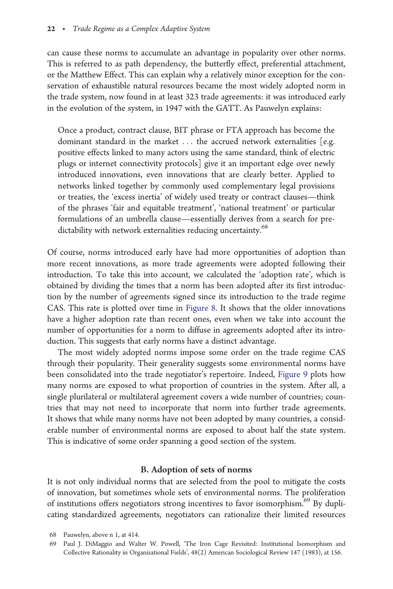can cause these norms to accumulate an advantage in popularity over other norms. This is referred to as path dependency, the butterfly effect, preferential attachment, or the Matthew Effect. This can explain why a relatively minor exception for the conservation of exhaustible natural resources became the most widely adopted norm in the trade system, now found in at least 323 trade agreements: it was introduced early in the evolution of the system, in 1947 with the GATT. As Pauwelyn explains:

Once a product, contract clause, BIT phrase or FTA approach has become the dominant standard in the market ... the accrued network externalities [e.g. positive effects linked to many actors using the same standard, think of electric plugs or internet connectivity protocols] give it an important edge over newly introduced innovations, even innovations that are clearly better. Applied to networks linked together by commonly used complementary legal provisions or treaties, the 'excess inertia' of widely used treaty or contract clauses—think of the phrases 'fair and equitable treatment', 'national treatment' or particular formulations of an umbrella clause—essentially derives from a search for predictability with network externalities reducing uncertainty.<sup>68</sup>

Of course, norms introduced early have had more opportunities of adoption than more recent innovations, as more trade agreements were adopted following their introduction. To take this into account, we calculated the 'adoption rate', which is obtained by dividing the times that a norm has been adopted after its first introduction by the number of agreements signed since its introduction to the trade regime CAS. This rate is plotted over time in [Figure 8.](#page-22-0) It shows that the older innovations have a higher adoption rate than recent ones, even when we take into account the number of opportunities for a norm to diffuse in agreements adopted after its introduction. This suggests that early norms have a distinct advantage.

The most widely adopted norms impose some order on the trade regime CAS through their popularity. Their generality suggests some environmental norms have been consolidated into the trade negotiator's repertoire. Indeed, [Figure 9](#page-22-0) plots how many norms are exposed to what proportion of countries in the system. After all, a single plurilateral or multilateral agreement covers a wide number of countries; countries that may not need to incorporate that norm into further trade agreements. It shows that while many norms have not been adopted by many countries, a considerable number of environmental norms are exposed to about half the state system. This is indicative of some order spanning a good section of the system.

#### B. Adoption of sets of norms

It is not only individual norms that are selected from the pool to mitigate the costs of innovation, but sometimes whole sets of environmental norms. The proliferation of institutions offers negotiators strong incentives to favor isomorphism.<sup>69</sup> By duplicating standardized agreements, negotiators can rationalize their limited resources

<sup>68</sup> Pauwelyn, above n 1, at 414.

<sup>69</sup> Paul J. DiMaggio and Walter W. Powell, 'The Iron Cage Revisited: Institutional Isomorphism and Collective Rationality in Organizational Fields', 48(2) American Sociological Review 147 (1983), at 156.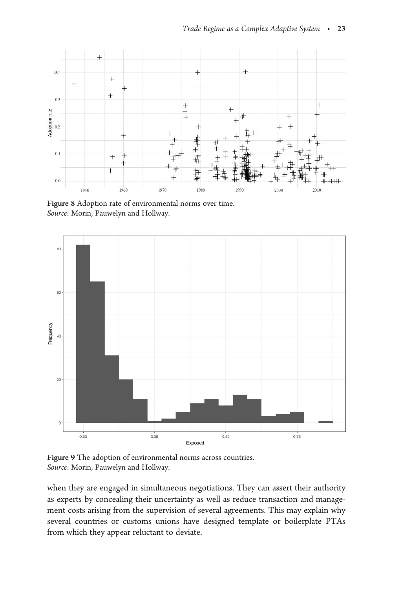<span id="page-22-0"></span>

Figure 8 Adoption rate of environmental norms over time. Source: Morin, Pauwelyn and Hollway.



Figure 9 The adoption of environmental norms across countries. Source: Morin, Pauwelyn and Hollway.

when they are engaged in simultaneous negotiations. They can assert their authority as experts by concealing their uncertainty as well as reduce transaction and management costs arising from the supervision of several agreements. This may explain why several countries or customs unions have designed template or boilerplate PTAs from which they appear reluctant to deviate.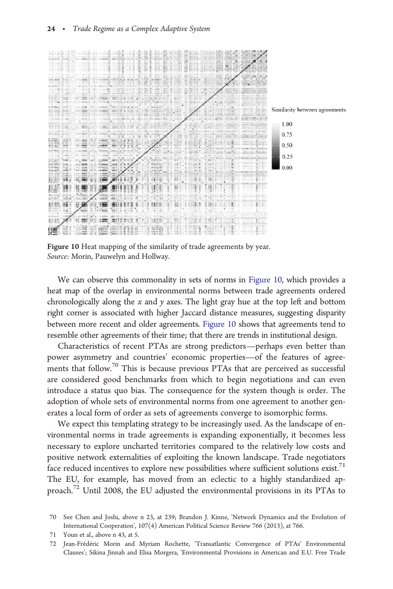

Figure 10 Heat mapping of the similarity of trade agreements by year. Source: Morin, Pauwelyn and Hollway.

We can observe this commonality in sets of norms in Figure 10, which provides a heat map of the overlap in environmental norms between trade agreements ordered chronologically along the  $x$  and  $y$  axes. The light gray hue at the top left and bottom right corner is associated with higher Jaccard distance measures, suggesting disparity between more recent and older agreements. Figure 10 shows that agreements tend to resemble other agreements of their time; that there are trends in institutional design.

Characteristics of recent PTAs are strong predictors—perhaps even better than power asymmetry and countries' economic properties—of the features of agreements that follow.<sup>70</sup> This is because previous PTAs that are perceived as successful are considered good benchmarks from which to begin negotiations and can even introduce a status quo bias. The consequence for the system though is order. The adoption of whole sets of environmental norms from one agreement to another generates a local form of order as sets of agreements converge to isomorphic forms.

We expect this templating strategy to be increasingly used. As the landscape of environmental norms in trade agreements is expanding exponentially, it becomes less necessary to explore uncharted territories compared to the relatively low costs and positive network externalities of exploiting the known landscape. Trade negotiators face reduced incentives to explore new possibilities where sufficient solutions exist.<sup>71</sup> The EU, for example, has moved from an eclectic to a highly standardized approach.72 Until 2008, the EU adjusted the environmental provisions in its PTAs to

<sup>70</sup> See Chen and Joshi, above n 23, at 239; Brandon J. Kinne, 'Network Dynamics and the Evolution of International Cooperation', 107(4) American Political Science Review 766 (2013), at 766.

<sup>71</sup> Youn et al., above n 43, at 5.

<sup>72</sup> Jean-Frédéric Morin and Myriam Rochette, 'Transatlantic Convergence of PTAs' Environmental Clauses'; Sikina Jinnah and Elisa Morgera, 'Environmental Provisions in American and E.U. Free Trade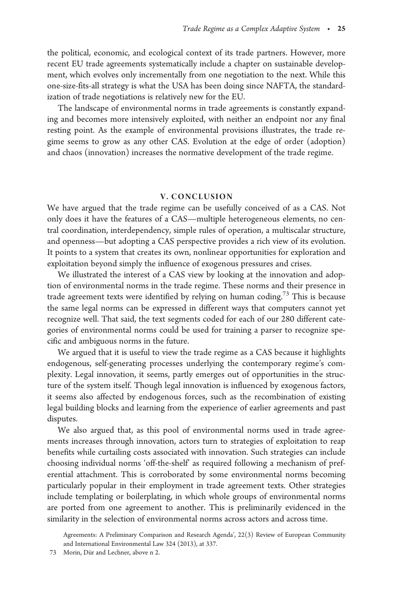the political, economic, and ecological context of its trade partners. However, more recent EU trade agreements systematically include a chapter on sustainable development, which evolves only incrementally from one negotiation to the next. While this one-size-fits-all strategy is what the USA has been doing since NAFTA, the standardization of trade negotiations is relatively new for the EU.

The landscape of environmental norms in trade agreements is constantly expanding and becomes more intensively exploited, with neither an endpoint nor any final resting point. As the example of environmental provisions illustrates, the trade regime seems to grow as any other CAS. Evolution at the edge of order (adoption) and chaos (innovation) increases the normative development of the trade regime.

#### V. CONCLUSION

We have argued that the trade regime can be usefully conceived of as a CAS. Not only does it have the features of a CAS—multiple heterogeneous elements, no central coordination, interdependency, simple rules of operation, a multiscalar structure, and openness—but adopting a CAS perspective provides a rich view of its evolution. It points to a system that creates its own, nonlinear opportunities for exploration and exploitation beyond simply the influence of exogenous pressures and crises.

We illustrated the interest of a CAS view by looking at the innovation and adoption of environmental norms in the trade regime. These norms and their presence in trade agreement texts were identified by relying on human coding.<sup>73</sup> This is because the same legal norms can be expressed in different ways that computers cannot yet recognize well. That said, the text segments coded for each of our 280 different categories of environmental norms could be used for training a parser to recognize specific and ambiguous norms in the future.

We argued that it is useful to view the trade regime as a CAS because it highlights endogenous, self-generating processes underlying the contemporary regime's complexity. Legal innovation, it seems, partly emerges out of opportunities in the structure of the system itself. Though legal innovation is influenced by exogenous factors, it seems also affected by endogenous forces, such as the recombination of existing legal building blocks and learning from the experience of earlier agreements and past disputes.

We also argued that, as this pool of environmental norms used in trade agreements increases through innovation, actors turn to strategies of exploitation to reap benefits while curtailing costs associated with innovation. Such strategies can include choosing individual norms 'off-the-shelf' as required following a mechanism of preferential attachment. This is corroborated by some environmental norms becoming particularly popular in their employment in trade agreement texts. Other strategies include templating or boilerplating, in which whole groups of environmental norms are ported from one agreement to another. This is preliminarily evidenced in the similarity in the selection of environmental norms across actors and across time.

Agreements: A Preliminary Comparison and Research Agenda', 22(3) Review of European Community and International Environmental Law 324 (2013), at 337.